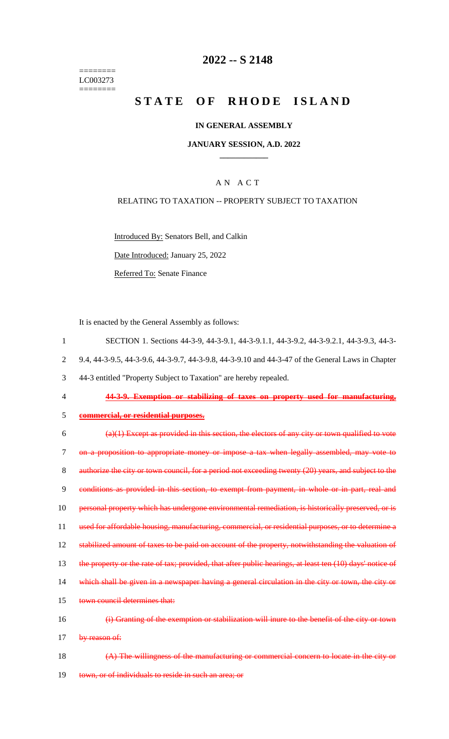======== LC003273 ========

### **2022 -- S 2148**

# **STATE OF RHODE ISLAND**

### **IN GENERAL ASSEMBLY**

### **JANUARY SESSION, A.D. 2022 \_\_\_\_\_\_\_\_\_\_\_\_**

### A N A C T

### RELATING TO TAXATION -- PROPERTY SUBJECT TO TAXATION

Introduced By: Senators Bell, and Calkin

Date Introduced: January 25, 2022

Referred To: Senate Finance

It is enacted by the General Assembly as follows:

- 1 SECTION 1. Sections 44-3-9, 44-3-9.1, 44-3-9.1.1, 44-3-9.2, 44-3-9.2.1, 44-3-9.3, 44-3- 2 9.4, 44-3-9.5, 44-3-9.6, 44-3-9.7, 44-3-9.8, 44-3-9.10 and 44-3-47 of the General Laws in Chapter 3 44-3 entitled "Property Subject to Taxation" are hereby repealed.
- 

4 **44-3-9. Exemption or stabilizing of taxes on property used for manufacturing,** 

5 **commercial, or residential purposes.**

 $\frac{1}{a}(a)(1)$  Except as provided in this section, the electors of any city or town qualified to vote 7 on a proposition to appropriate money or impose a tax when legally assembled, may vote to 8 authorize the city or town council, for a period not exceeding twenty (20) years, and subject to the 9 conditions as provided in this section, to exempt from payment, in whole or in part, real and 10 personal property which has undergone environmental remediation, is historically preserved, or is 11 used for affordable housing, manufacturing, commercial, or residential purposes, or to determine a 12 stabilized amount of taxes to be paid on account of the property, notwithstanding the valuation of 13 the property or the rate of tax; provided, that after public hearings, at least ten (10) days' notice of 14 which shall be given in a newspaper having a general circulation in the city or town, the city or 15 town council determines that: 16 (i) Granting of the exemption or stabilization will inure to the benefit of the city or town 17 by reason of:

18 (A) The willingness of the manufacturing or commercial concern to locate in the city or 19 town, or of individuals to reside in such an area; or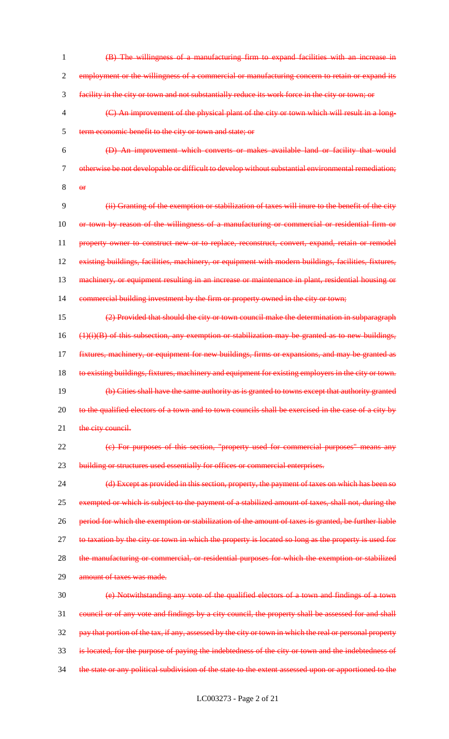- 1 (B) The willingness of a manufacturing firm to expand facilities with an increase in 2 employment or the willingness of a commercial or manufacturing concern to retain or expand its 3 facility in the city or town and not substantially reduce its work force in the city or town; or 4 (C) An improvement of the physical plant of the city or town which will result in a long-
- 5 term economic benefit to the city or town and state; or 6 (D) An improvement which converts or makes available land or facility that would
- 7 otherwise be not developable or difficult to develop without substantial environmental remediation;
- 8 or

9 (ii) Granting of the exemption or stabilization of taxes will inure to the benefit of the city 10 or town by reason of the willingness of a manufacturing or commercial or residential firm or 11 property owner to construct new or to replace, reconstruct, convert, expand, retain or remodel 12 existing buildings, facilities, machinery, or equipment with modern buildings, facilities, fixtures, 13 machinery, or equipment resulting in an increase or maintenance in plant, residential housing or 14 commercial building investment by the firm or property owned in the city or town;

15 (2) Provided that should the city or town council make the determination in subparagraph  $16$  (1)(i)(B) of this subsection, any exemption or stabilization may be granted as to new buildings, 17 fixtures, machinery, or equipment for new buildings, firms or expansions, and may be granted as 18 to existing buildings, fixtures, machinery and equipment for existing employers in the city or town. 19 (b) Cities shall have the same authority as is granted to towns except that authority granted 20 to the qualified electors of a town and to town councils shall be exercised in the case of a city by 21 the city council.

22 (c) For purposes of this section, "property used for commercial purposes" means any 23 building or structures used essentially for offices or commercial enterprises.

24 (d) Except as provided in this section, property, the payment of taxes on which has been so 25 exempted or which is subject to the payment of a stabilized amount of taxes, shall not, during the 26 period for which the exemption or stabilization of the amount of taxes is granted, be further liable 27 to taxation by the city or town in which the property is located so long as the property is used for 28 the manufacturing or commercial, or residential purposes for which the exemption or stabilized 29 amount of taxes was made.

30 (e) Notwithstanding any vote of the qualified electors of a town and findings of a town 31 council or of any vote and findings by a city council, the property shall be assessed for and shall 32 pay that portion of the tax, if any, assessed by the city or town in which the real or personal property 33 is located, for the purpose of paying the indebtedness of the city or town and the indebtedness of 34 the state or any political subdivision of the state to the extent assessed upon or apportioned to the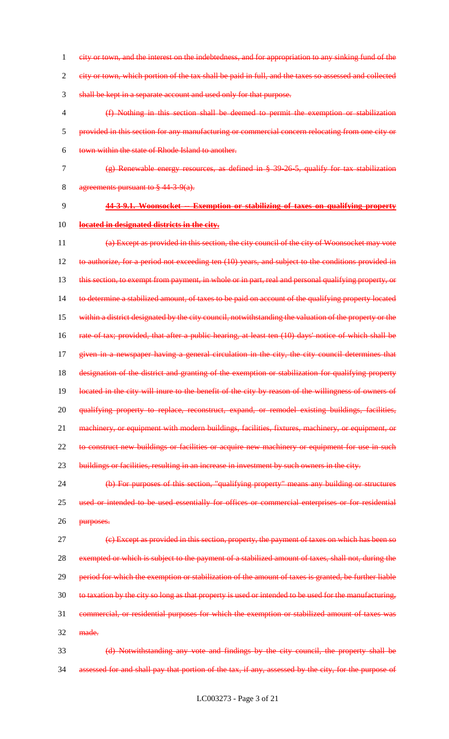city or town, and the interest on the indebtedness, and for appropriation to any sinking fund of the city or town, which portion of the tax shall be paid in full, and the taxes so assessed and collected shall be kept in a separate account and used only for that purpose. (f) Nothing in this section shall be deemed to permit the exemption or stabilization provided in this section for any manufacturing or commercial concern relocating from one city or town within the state of Rhode Island to another. (g) Renewable energy resources, as defined in § 39-26-5, qualify for tax stabilization agreements pursuant to § 44-3-9(a). **44-3-9.1. Woonsocket -- Exemption or stabilizing of taxes on qualifying property located in designated districts in the city.** (a) Except as provided in this section, the city council of the city of Woonsocket may vote 12 to authorize, for a period not exceeding ten (10) years, and subject to the conditions provided in 13 this section, to exempt from payment, in whole or in part, real and personal qualifying property, or to determine a stabilized amount, of taxes to be paid on account of the qualifying property located 15 within a district designated by the city council, not with standing the valuation of the property or the rate of tax; provided, that after a public hearing, at least ten (10) days' notice of which shall be 17 given in a newspaper having a general circulation in the city, the city council determines that 18 designation of the district and granting of the exemption or stabilization for qualifying property located in the city will inure to the benefit of the city by reason of the willingness of owners of qualifying property to replace, reconstruct, expand, or remodel existing buildings, facilities, 21 machinery, or equipment with modern buildings, facilities, fixtures, machinery, or equipment, or 22 to construct new buildings or facilities or acquire new machinery or equipment for use in such buildings or facilities, resulting in an increase in investment by such owners in the city. (b) For purposes of this section, "qualifying property" means any building or structures 25 used or intended to be used essentially for offices or commercial enterprises or for residential purposes. (c) Except as provided in this section, property, the payment of taxes on which has been so 28 exempted or which is subject to the payment of a stabilized amount of taxes, shall not, during the 29 period for which the exemption or stabilization of the amount of taxes is granted, be further liable to taxation by the city so long as that property is used or intended to be used for the manufacturing, commercial, or residential purposes for which the exemption or stabilized amount of taxes was made. (d) Notwithstanding any vote and findings by the city council, the property shall be assessed for and shall pay that portion of the tax, if any, assessed by the city, for the purpose of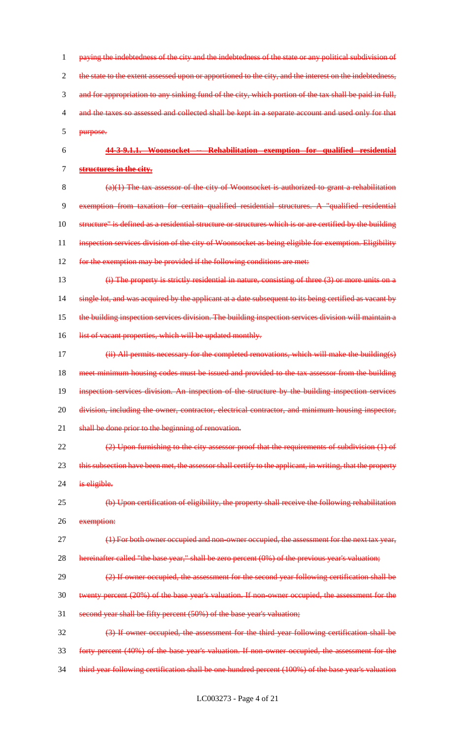1 paying the indebtedness of the city and the indebtedness of the state or any political subdivision of 2 the state to the extent assessed upon or apportioned to the city, and the interest on the indebtedness, 3 and for appropriation to any sinking fund of the city, which portion of the tax shall be paid in full, 4 and the taxes so assessed and collected shall be kept in a separate account and used only for that 5 purpose. 6 **44-3-9.1.1. Woonsocket -- Rehabilitation exemption for qualified residential**  7 **structures in the city.** 8 (a)(1) The tax assessor of the city of Woonsocket is authorized to grant a rehabilitation 9 exemption from taxation for certain qualified residential structures. A "qualified residential 10 structure" is defined as a residential structure or structures which is or are certified by the building 11 inspection services division of the city of Woonsocket as being eligible for exemption. Eligibility 12 for the exemption may be provided if the following conditions are met: 13 (i) The property is strictly residential in nature, consisting of three (3) or more units on a 14 single lot, and was acquired by the applicant at a date subsequent to its being certified as vacant by 15 the building inspection services division. The building inspection services division will maintain a 16 list of vacant properties, which will be updated monthly. 17 (ii) All permits necessary for the completed renovations, which will make the building(s) 18 meet minimum housing codes must be issued and provided to the tax assessor from the building 19 inspection services division. An inspection of the structure by the building inspection services 20 division, including the owner, contractor, electrical contractor, and minimum housing inspector, 21 shall be done prior to the beginning of renovation. 22 (2) Upon furnishing to the city assessor proof that the requirements of subdivision (1) of 23 this subsection have been met, the assessor shall certify to the applicant, in writing, that the property 24 is eligible. 25 (b) Upon certification of eligibility, the property shall receive the following rehabilitation 26 exemption: 27 (1) For both owner occupied and non-owner occupied, the assessment for the next tax year, 28 hereinafter called "the base year," shall be zero percent (0%) of the previous year's valuation;  $(2)$  If owner occupied, the assessment for the second year following certification shall be 30 twenty percent (20%) of the base year's valuation. If non-owner occupied, the assessment for the 31 second year shall be fifty percent (50%) of the base year's valuation; 32 (3) If owner occupied, the assessment for the third year following certification shall be 33 forty percent (40%) of the base year's valuation. If non-owner occupied, the assessment for the 34 third year following certification shall be one hundred percent (100%) of the base year's valuation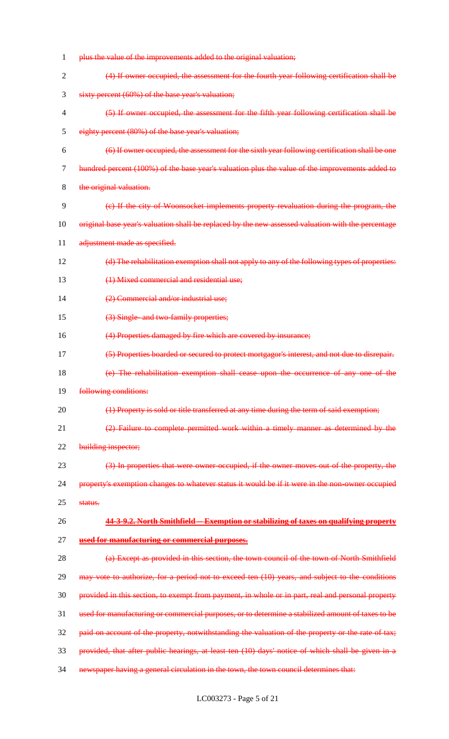| 1              | plus the value of the improvements added to the original valuation;                                |
|----------------|----------------------------------------------------------------------------------------------------|
| $\overline{2}$ | (4) If owner occupied, the assessment for the fourth year following certification shall be         |
| 3              | sixty percent (60%) of the base year's valuation;                                                  |
| 4              | (5) If owner occupied, the assessment for the fifth year following certification shall be          |
| 5              | eighty percent (80%) of the base year's valuation;                                                 |
| 6              | (6) If owner occupied, the assessment for the sixth year following certification shall be one      |
| 7              | hundred percent (100%) of the base year's valuation plus the value of the improvements added to    |
| 8              | the original valuation.                                                                            |
| 9              | (c) If the city of Woonsocket implements property revaluation during the program, the              |
| 10             | original base year's valuation shall be replaced by the new assessed valuation with the percentage |
| 11             | adjustment made as specified.                                                                      |
| 12             | (d) The rehabilitation exemption shall not apply to any of the following types of properties:      |
| 13             | (1) Mixed commercial and residential use;                                                          |
| 14             | (2) Commercial and/or industrial use;                                                              |
| 15             | (3) Single-and two-family properties;                                                              |
| 16             | (4) Properties damaged by fire which are covered by insurance;                                     |
| 17             | (5) Properties boarded or secured to protect mortgagor's interest, and not due to disrepair.       |
| 18             | (e) The rehabilitation exemption shall cease upon the occurrence of any one of the                 |
| 19             | following conditions:                                                                              |
| 20             | (1) Property is sold or title transferred at any time during the term of said exemption;           |
| 21             | (2) Failure to complete permitted work within a timely manner as determined by the                 |
| 22             | building inspector;                                                                                |
| 23             | (3) In properties that were owner occupied, if the owner moves out of the property, the            |
| 24             | property's exemption changes to whatever status it would be if it were in the non-owner occupied   |
| 25             | status.                                                                                            |
| 26             | 44-3-9.2. North Smithfield -- Exemption or stabilizing of taxes on qualifying property             |
| 27             | used for manufacturing or commercial purposes.                                                     |
| 28             | (a) Except as provided in this section, the town council of the town of North Smithfield           |
| 29             | may vote to authorize, for a period not to exceed ten (10) years, and subject to the conditions    |
| 30             | provided in this section, to exempt from payment, in whole or in part, real and personal property  |
| 31             | used for manufacturing or commercial purposes, or to determine a stabilized amount of taxes to be  |
| 32             | paid on account of the property, notwithstanding the valuation of the property or the rate of tax; |
| 33             | provided, that after public hearings, at least ten (10) days' notice of which shall be given in a  |
| 34             | newspaper having a general circulation in the town, the town council determines that:              |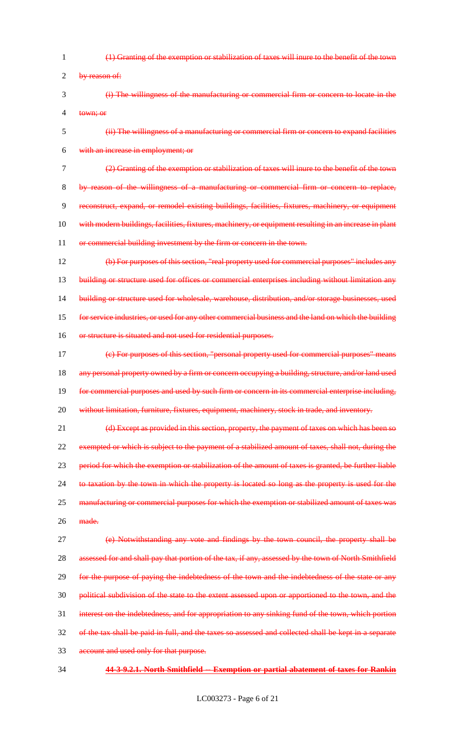- 1 (1) Granting of the exemption or stabilization of taxes will inure to the benefit of the town 2 by reason of: 3 (i) The willingness of the manufacturing or commercial firm or concern to locate in the 4 town; or 5 (ii) The willingness of a manufacturing or commercial firm or concern to expand facilities 6 with an increase in employment; or 7 (2) Granting of the exemption or stabilization of taxes will inure to the benefit of the town 8 by reason of the willingness of a manufacturing or commercial firm or concern to replace, 9 reconstruct, expand, or remodel existing buildings, facilities, fixtures, machinery, or equipment 10 with modern buildings, facilities, fixtures, machinery, or equipment resulting in an increase in plant 11 or commercial building investment by the firm or concern in the town. 12 (b) For purposes of this section, "real property used for commercial purposes" includes any 13 building or structure used for offices or commercial enterprises including without limitation any 14 building or structure used for wholesale, warehouse, distribution, and/or storage businesses, used 15 for service industries, or used for any other commercial business and the land on which the building 16 or structure is situated and not used for residential purposes. 17 (c) For purposes of this section, "personal property used for commercial purposes" means 18 any personal property owned by a firm or concern occupying a building, structure, and/or land used 19 for commercial purposes and used by such firm or concern in its commercial enterprise including, 20 without limitation, furniture, fixtures, equipment, machinery, stock in trade, and inventory. 21 (d) Except as provided in this section, property, the payment of taxes on which has been so 22 exempted or which is subject to the payment of a stabilized amount of taxes, shall not, during the 23 period for which the exemption or stabilization of the amount of taxes is granted, be further liable 24 to taxation by the town in which the property is located so long as the property is used for the 25 manufacturing or commercial purposes for which the exemption or stabilized amount of taxes was 26 made. 27 (e) Notwithstanding any vote and findings by the town council, the property shall be 28 assessed for and shall pay that portion of the tax, if any, assessed by the town of North Smithfield 29 for the purpose of paying the indebtedness of the town and the indebtedness of the state or any 30 political subdivision of the state to the extent assessed upon or apportioned to the town, and the 31 interest on the indebtedness, and for appropriation to any sinking fund of the town, which portion 32 of the tax shall be paid in full, and the taxes so assessed and collected shall be kept in a separate 33 account and used only for that purpose.
- 34 **44-3-9.2.1. North Smithfield -- Exemption or partial abatement of taxes for Rankin**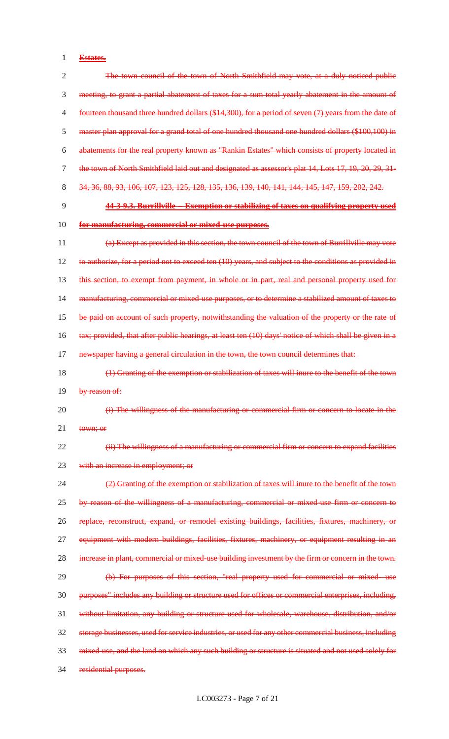# 1 **Estates.**

| $\overline{2}$ | The town council of the town of North Smithfield may vote, at a duly noticed public                    |
|----------------|--------------------------------------------------------------------------------------------------------|
| 3              | meeting, to grant a partial abatement of taxes for a sum total yearly abatement in the amount of       |
| $\overline{4}$ | fourteen thousand three hundred dollars (\$14,300), for a period of seven (7) years from the date of   |
| 5              | master plan approval for a grand total of one hundred thousand one hundred dollars (\$100,100) in      |
| 6              | abatements for the real property known as "Rankin Estates" which consists of property located in       |
| 7              | the town of North Smithfield laid out and designated as assessor's plat 14, Lots 17, 19, 20, 29, 31-   |
| 8              | 34, 36, 88, 93, 106, 107, 123, 125, 128, 135, 136, 139, 140, 141, 144, 145, 147, 159, 202, 242.        |
| 9              | 44-3-9.3. Burrillville -- Exemption or stabilizing of taxes on qualifying property used                |
| 10             | for manufacturing, commercial or mixed-use purposes.                                                   |
| 11             | (a) Except as provided in this section, the town council of the town of Burrillville may vote          |
| 12             | to authorize, for a period not to exceed ten (10) years, and subject to the conditions as provided in  |
| 13             | this section, to exempt from payment, in whole or in part, real and personal property used for         |
| 14             | manufacturing, commercial or mixed-use purposes, or to determine a stabilized amount of taxes to       |
| 15             | be paid on account of such property, notwithstanding the valuation of the property or the rate of      |
| 16             | tax; provided, that after public hearings, at least ten (10) days' notice of which shall be given in a |
| 17             | newspaper having a general circulation in the town, the town council determines that:                  |
| 18             | (1) Granting of the exemption or stabilization of taxes will inure to the benefit of the town          |
| 19             | by reason of:                                                                                          |
| 20             | The willingness of the manufacturing or commercial firm or concern to locate in the                    |
| 21             | town; or                                                                                               |
| 22             | (ii) The willingness of a manufacturing or commercial firm or concern to expand facilities             |
| 23             | with an increase in employment; or                                                                     |
| 24             | (2) Granting of the exemption or stabilization of taxes will inure to the benefit of the town          |
| 25             | by reason of the willingness of a manufacturing, commercial or mixed use firm or concern to            |
| 26             | replace, reconstruct, expand, or remodel existing buildings, facilities, fixtures, machinery, or       |
| 27             | equipment with modern buildings, facilities, fixtures, machinery, or equipment resulting in an         |
| 28             | increase in plant, commercial or mixed-use building investment by the firm or concern in the town.     |
| 29             | (b) For purposes of this section, "real property used for commercial or mixed-use                      |
| 30             | purposes" includes any building or structure used for offices or commercial enterprises, including,    |
| 31             | without limitation, any building or structure used for wholesale, warehouse, distribution, and/or      |
| 32             | storage businesses, used for service industries, or used for any other commercial business, including  |
| 33             | mixed-use, and the land on which any such building or structure is situated and not used solely for    |
| 34             | residential purposes.                                                                                  |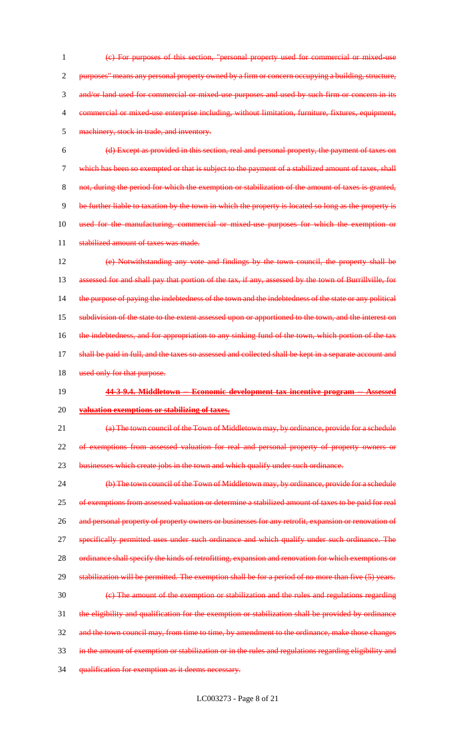(c) For purposes of this section, "personal property used for commercial or mixed-use purposes" means any personal property owned by a firm or concern occupying a building, structure, 3 and/or land used for commercial or mixed-use purposes and used by such firm or concern in its 4 commercial or mixed-use enterprise including, without limitation, furniture, fixtures, equipment, machinery, stock in trade, and inventory.

 (d) Except as provided in this section, real and personal property, the payment of taxes on which has been so exempted or that is subject to the payment of a stabilized amount of taxes, shall 8 not, during the period for which the exemption or stabilization of the amount of taxes is granted, be further liable to taxation by the town in which the property is located so long as the property is used for the manufacturing, commercial or mixed-use purposes for which the exemption or stabilized amount of taxes was made.

 (e) Notwithstanding any vote and findings by the town council, the property shall be assessed for and shall pay that portion of the tax, if any, assessed by the town of Burrillville, for 14 the purpose of paying the indebtedness of the town and the indebtedness of the state or any political 15 subdivision of the state to the extent assessed upon or apportioned to the town, and the interest on 16 the indebtedness, and for appropriation to any sinking fund of the town, which portion of the tax 17 shall be paid in full, and the taxes so assessed and collected shall be kept in a separate account and

18 used only for that purpose.

# **44-3-9.4. Middletown -- Economic development tax incentive program -- Assessed**

**valuation exemptions or stabilizing of taxes.**

 (a) The town council of the Town of Middletown may, by ordinance, provide for a schedule of exemptions from assessed valuation for real and personal property of property owners or businesses which create jobs in the town and which qualify under such ordinance.

 (b) The town council of the Town of Middletown may, by ordinance, provide for a schedule 25 of exemptions from assessed valuation or determine a stabilized amount of taxes to be paid for real 26 and personal property of property owners or businesses for any retrofit, expansion or renovation of specifically permitted uses under such ordinance and which qualify under such ordinance. The 28 ordinance shall specify the kinds of retrofitting, expansion and renovation for which exemptions or 29 stabilization will be permitted. The exemption shall be for a period of no more than five (5) years. (c) The amount of the exemption or stabilization and the rules and regulations regarding the eligibility and qualification for the exemption or stabilization shall be provided by ordinance and the town council may, from time to time, by amendment to the ordinance, make those changes in the amount of exemption or stabilization or in the rules and regulations regarding eligibility and qualification for exemption as it deems necessary.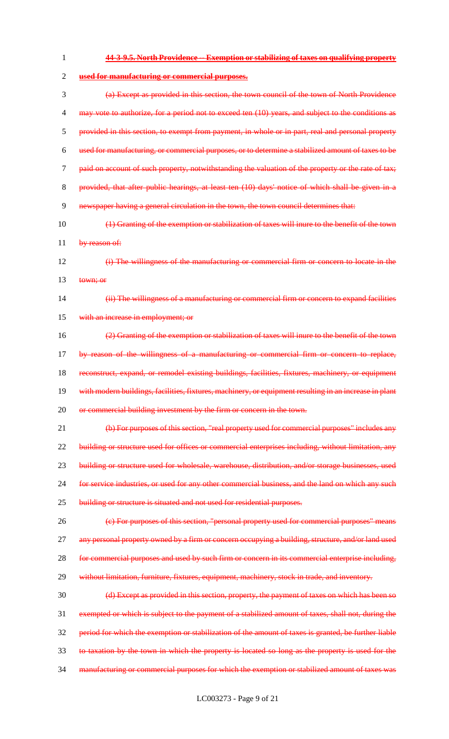**44-3-9.5. North Providence -- Exemption or stabilizing of taxes on qualifying property used for manufacturing or commercial purposes.** (a) Except as provided in this section, the town council of the town of North Providence 4 may vote to authorize, for a period not to exceed ten (10) years, and subject to the conditions as provided in this section, to exempt from payment, in whole or in part, real and personal property used for manufacturing, or commercial purposes, or to determine a stabilized amount of taxes to be 7 paid on account of such property, notwithstanding the valuation of the property or the rate of tax; provided, that after public hearings, at least ten (10) days' notice of which shall be given in a newspaper having a general circulation in the town, the town council determines that: (1) Granting of the exemption or stabilization of taxes will inure to the benefit of the town 11 by reason of: (i) The willingness of the manufacturing or commercial firm or concern to locate in the 13 town; or (ii) The willingness of a manufacturing or commercial firm or concern to expand facilities 15 with an increase in employment; or (2) Granting of the exemption or stabilization of taxes will inure to the benefit of the town by reason of the willingness of a manufacturing or commercial firm or concern to replace, 18 reconstruct, expand, or remodel existing buildings, facilities, fixtures, machinery, or equipment 19 with modern buildings, facilities, fixtures, machinery, or equipment resulting in an increase in plant 20 or commercial building investment by the firm or concern in the town. (b) For purposes of this section, "real property used for commercial purposes" includes any building or structure used for offices or commercial enterprises including, without limitation, any 23 building or structure used for wholesale, warehouse, distribution, and/or storage businesses, used for service industries, or used for any other commercial business, and the land on which any such 25 building or structure is situated and not used for residential purposes. (c) For purposes of this section, "personal property used for commercial purposes" means 27 any personal property owned by a firm or concern occupying a building, structure, and/or land used for commercial purposes and used by such firm or concern in its commercial enterprise including, 29 without limitation, furniture, fixtures, equipment, machinery, stock in trade, and inventory. (d) Except as provided in this section, property, the payment of taxes on which has been so exempted or which is subject to the payment of a stabilized amount of taxes, shall not, during the period for which the exemption or stabilization of the amount of taxes is granted, be further liable to taxation by the town in which the property is located so long as the property is used for the manufacturing or commercial purposes for which the exemption or stabilized amount of taxes was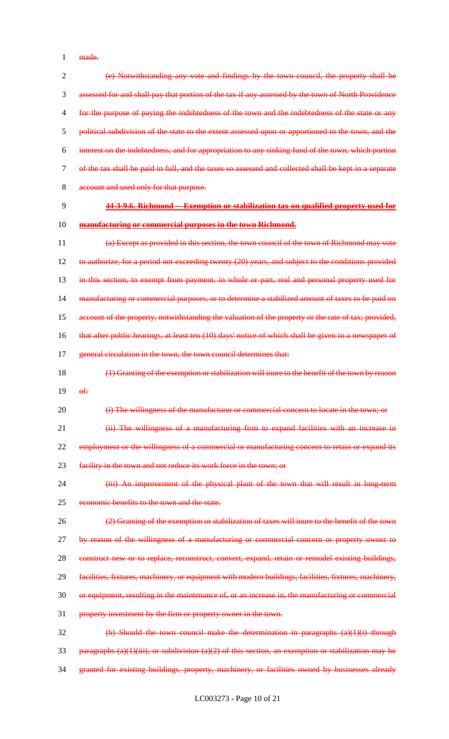1 made.

| $\overline{2}$ | (e) Notwithstanding any vote and findings by the town council, the property shall be                     |
|----------------|----------------------------------------------------------------------------------------------------------|
| 3              | assessed for and shall pay that portion of the tax if any assessed by the town of North Providence       |
| $\overline{4}$ | for the purpose of paying the indebtedness of the town and the indebtedness of the state or any          |
| 5              | political subdivision of the state to the extent assessed upon or apportioned to the town, and the       |
| 6              | interest on the indebtedness, and for appropriation to any sinking fund of the town, which portion       |
| 7              | of the tax shall be paid in full, and the taxes so assessed and collected shall be kept in a separate    |
| 8              | account and used only for that purpose.                                                                  |
| 9              | 44-3-9.6. Richmond -- Exemption or stabilization tax on qualified property used for                      |
| 10             | manufacturing or commercial purposes in the town Richmond.                                               |
| 11             | (a) Except as provided in this section, the town council of the town of Richmond may vote                |
| 12             | to authorize, for a period not exceeding twenty (20) years, and subject to the conditions provided       |
| 13             | in this section, to exempt from payment, in whole or part, real and personal property used for           |
| 14             | manufacturing or commercial purposes, or to determine a stabilized amount of taxes to be paid on         |
| 15             | account of the property, notwithstanding the valuation of the property or the rate of tax; provided,     |
| 16             | that after public hearings, at least ten (10) days' notice of which shall be given in a newspaper of     |
| 17             | general circulation in the town, the town council determines that:                                       |
| 18             | (1) Granting of the exemption or stabilization will inure to the benefit of the town by reason           |
| 19             | $\theta f$ :                                                                                             |
| 20             | (i) The willingness of the manufacturer or commercial concern to locate in the town; or                  |
| 21             | (ii) The willingness of a manufacturing firm to expand facilities with an increase in                    |
| 22             | employment or the willingness of a commercial or manufacturing concern to retain or expand its           |
| 23             | facility in the town and not reduce its work force in the town; or                                       |
| 24             | (iii) An improvement of the physical plant of the town that will result in long-term                     |
| 25             | economic benefits to the town and the state.                                                             |
| 26             | (2) Granting of the exemption or stabilization of taxes will inure to the benefit of the town            |
| 27             | by reason of the willingness of a manufacturing or commercial concern or property owner to               |
| 28             | construct new or to replace, reconstruct, convert, expand, retain or remodel existing buildings,         |
| 29             | facilities, fixtures, machinery, or equipment with modern buildings, facilities, fixtures, machinery,    |
| 30             | or equipment, resulting in the maintenance of, or an increase in, the manufacturing or commercial        |
| 31             | property investment by the firm or property owner in the town.                                           |
| 32             | (b) Should the town council make the determination in paragraphs $(a)(1)(i)$ through                     |
| 33             | paragraphs $(a)(1)(iii)$ , or subdivision $(a)(2)$ of this section, an exemption or stabilization may be |
| 34             | granted for existing buildings, property, machinery, or facilities owned by businesses already           |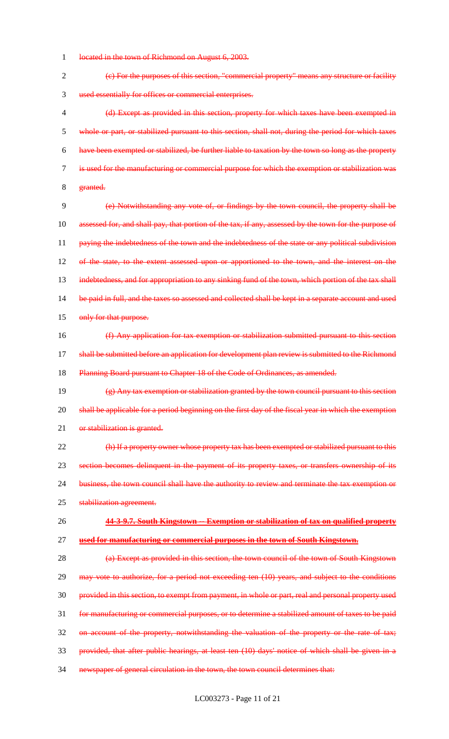- 1 located in the town of Richmond on August 6, 2003.
- 2 (c) For the purposes of this section, "commercial property" means any structure or facility 3 used essentially for offices or commercial enterprises.
- 4 (d) Except as provided in this section, property for which taxes have been exempted in 5 whole or part, or stabilized pursuant to this section, shall not, during the period for which taxes 6 have been exempted or stabilized, be further liable to taxation by the town so long as the property 7 is used for the manufacturing or commercial purpose for which the exemption or stabilization was 8 granted.
- 9 (e) Notwithstanding any vote of, or findings by the town council, the property shall be 10 assessed for, and shall pay, that portion of the tax, if any, assessed by the town for the purpose of 11 paying the indebtedness of the town and the indebtedness of the state or any political subdivision 12 of the state, to the extent assessed upon or apportioned to the town, and the interest on the 13 indebtedness, and for appropriation to any sinking fund of the town, which portion of the tax shall 14 be paid in full, and the taxes so assessed and collected shall be kept in a separate account and used 15 only for that purpose.
- 16 (f) Any application for tax exemption or stabilization submitted pursuant to this section 17 shall be submitted before an application for development plan review is submitted to the Richmond 18 Planning Board pursuant to Chapter 18 of the Code of Ordinances, as amended.
- 19 (g) Any tax exemption or stabilization granted by the town council pursuant to this section 20 shall be applicable for a period beginning on the first day of the fiscal year in which the exemption 21 or stabilization is granted.
- 22 (h) If a property owner whose property tax has been exempted or stabilized pursuant to this 23 section becomes delinquent in the payment of its property taxes, or transfers ownership of its 24 business, the town council shall have the authority to review and terminate the tax exemption or 25 stabilization agreement.
- 26 **44-3-9.7. South Kingstown -- Exemption or stabilization of tax on qualified property**  27 **used for manufacturing or commercial purposes in the town of South Kingstown.**
- 28 (a) Except as provided in this section, the town council of the town of South Kingstown 29 may vote to authorize, for a period not exceeding ten (10) years, and subject to the conditions 30 provided in this section, to exempt from payment, in whole or part, real and personal property used 31 for manufacturing or commercial purposes, or to determine a stabilized amount of taxes to be paid 32 on account of the property, notwithstanding the valuation of the property or the rate of tax; 33 provided, that after public hearings, at least ten (10) days' notice of which shall be given in a
- 34 newspaper of general circulation in the town, the town council determines that: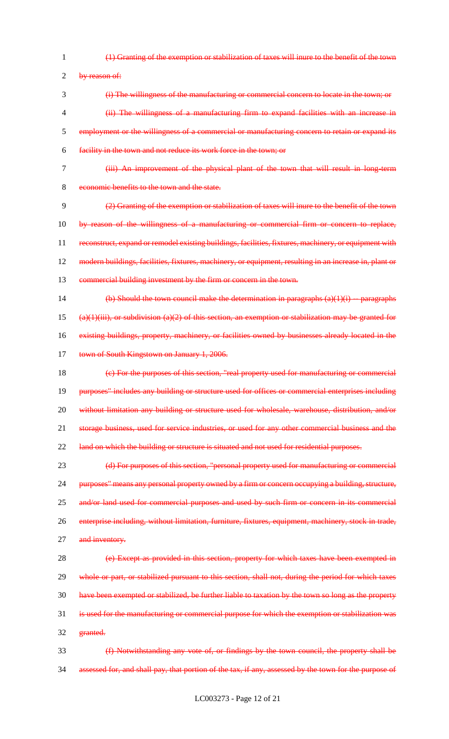2 by reason of:

- 3 (i) The willingness of the manufacturing or commercial concern to locate in the town; or
- 4 (ii) The willingness of a manufacturing firm to expand facilities with an increase in
- 5 employment or the willingness of a commercial or manufacturing concern to retain or expand its
- 6 facility in the town and not reduce its work force in the town; or
- 7 (iii) An improvement of the physical plant of the town that will result in long-term
- 8 economic benefits to the town and the state.

 (2) Granting of the exemption or stabilization of taxes will inure to the benefit of the town by reason of the willingness of a manufacturing or commercial firm or concern to replace, 11 reconstruct, expand or remodel existing buildings, facilities, fixtures, machinery, or equipment with modern buildings, facilities, fixtures, machinery, or equipment, resulting in an increase in, plant or commercial building investment by the firm or concern in the town.

- 14 (b) Should the town council make the determination in paragraphs  $(a)(1)(i)$  -- paragraphs
- 15 (a)(1)(iii), or subdivision (a)(2) of this section, an exemption or stabilization may be granted for
- 16 existing buildings, property, machinery, or facilities owned by businesses already located in the
- 17 town of South Kingstown on January 1, 2006.

18 (c) For the purposes of this section, "real property used for manufacturing or commercial 19 purposes" includes any building or structure used for offices or commercial enterprises including 20 without limitation any building or structure used for wholesale, warehouse, distribution, and/or 21 storage business, used for service industries, or used for any other commercial business and the 22 land on which the building or structure is situated and not used for residential purposes.

23 (d) For purposes of this section, "personal property used for manufacturing or commercial 24 purposes" means any personal property owned by a firm or concern occupying a building, structure, 25 and/or land used for commercial purposes and used by such firm or concern in its commercial 26 enterprise including, without limitation, furniture, fixtures, equipment, machinery, stock in trade, 27 and inventory.

28 (e) Except as provided in this section, property for which taxes have been exempted in 29 whole or part, or stabilized pursuant to this section, shall not, during the period for which taxes 30 have been exempted or stabilized, be further liable to taxation by the town so long as the property 31 is used for the manufacturing or commercial purpose for which the exemption or stabilization was 32 granted.

33 (f) Notwithstanding any vote of, or findings by the town council, the property shall be 34 assessed for, and shall pay, that portion of the tax, if any, assessed by the town for the purpose of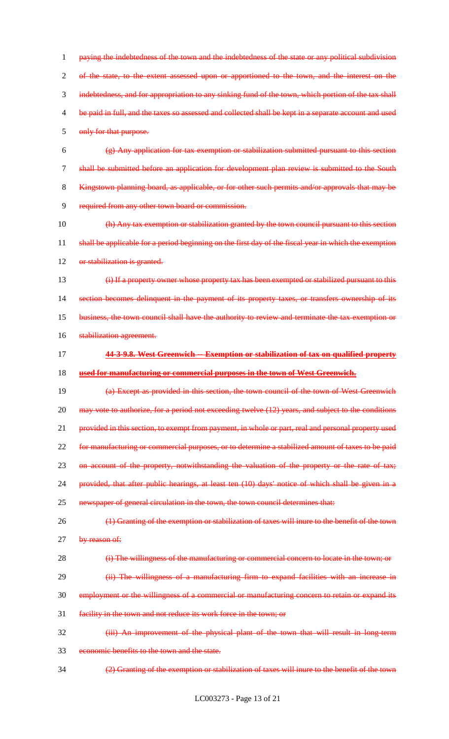paying the indebtedness of the town and the indebtedness of the state or any political subdivision 2 of the state, to the extent assessed upon or apportioned to the town, and the interest on the indebtedness, and for appropriation to any sinking fund of the town, which portion of the tax shall be paid in full, and the taxes so assessed and collected shall be kept in a separate account and used 5 only for that purpose.  $(9)$  Any application for tax exemption or stabilization submitted pursuant to this section shall be submitted before an application for development plan review is submitted to the South Kingstown planning board, as applicable, or for other such permits and/or approvals that may be required from any other town board or commission. (h) Any tax exemption or stabilization granted by the town council pursuant to this section 11 shall be applicable for a period beginning on the first day of the fiscal year in which the exemption 12 or stabilization is granted. (i) If a property owner whose property tax has been exempted or stabilized pursuant to this section becomes delinquent in the payment of its property taxes, or transfers ownership of its business, the town council shall have the authority to review and terminate the tax exemption or 16 stabilization agreement. **44-3-9.8. West Greenwich -- Exemption or stabilization of tax on qualified property used for manufacturing or commercial purposes in the town of West Greenwich.** (a) Except as provided in this section, the town council of the town of West Greenwich 20 may vote to authorize, for a period not exceeding twelve (12) years, and subject to the conditions 21 provided in this section, to exempt from payment, in whole or part, real and personal property used for manufacturing or commercial purposes, or to determine a stabilized amount of taxes to be paid 23 on account of the property, notwithstanding the valuation of the property or the rate of tax; provided, that after public hearings, at least ten (10) days' notice of which shall be given in a newspaper of general circulation in the town, the town council determines that: (1) Granting of the exemption or stabilization of taxes will inure to the benefit of the town 27 by reason of: **(i) The willingness of the manufacturing or commercial concern to locate in the town; or** 29 (ii) The willingness of a manufacturing firm to expand facilities with an increase in employment or the willingness of a commercial or manufacturing concern to retain or expand its facility in the town and not reduce its work force in the town; or **(iii) An improvement of the physical plant of the town that will result in long-term** economic benefits to the town and the state.

(2) Granting of the exemption or stabilization of taxes will inure to the benefit of the town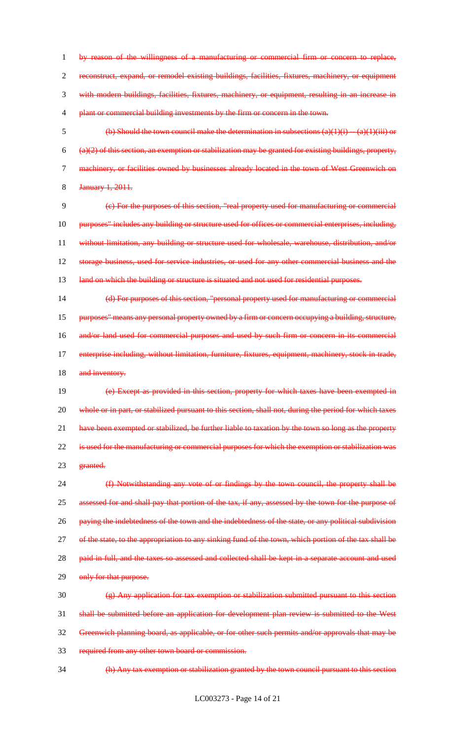by reason of the willingness of a manufacturing or commercial firm or concern to replace, reconstruct, expand, or remodel existing buildings, facilities, fixtures, machinery, or equipment with modern buildings, facilities, fixtures, machinery, or equipment, resulting in an increase in 4 plant or commercial building investments by the firm or concern in the town.

5 (b) Should the town council make the determination in subsections  $(a)(1)(i) - (a)(1)(iii)$  or  $6 \quad (a)(2)$  of this section, an exemption or stabilization may be granted for existing buildings, property, 7 machinery, or facilities owned by businesses already located in the town of West Greenwich on 8 January 1, 2011.

9 (c) For the purposes of this section, "real property used for manufacturing or commercial 10 purposes" includes any building or structure used for offices or commercial enterprises, including, 11 without limitation, any building or structure used for wholesale, warehouse, distribution, and/or 12 storage business, used for service industries, or used for any other commercial business and the 13 land on which the building or structure is situated and not used for residential purposes.

14 (d) For purposes of this section, "personal property used for manufacturing or commercial 15 purposes" means any personal property owned by a firm or concern occupying a building, structure, 16 and/or land used for commercial purposes and used by such firm or concern in its commercial 17 enterprise including, without limitation, furniture, fixtures, equipment, machinery, stock in trade, 18 and inventory.

19 (e) Except as provided in this section, property for which taxes have been exempted in 20 whole or in part, or stabilized pursuant to this section, shall not, during the period for which taxes 21 have been exempted or stabilized, be further liable to taxation by the town so long as the property 22 is used for the manufacturing or commercial purposes for which the exemption or stabilization was 23 **granted.** 

24 (f) Notwithstanding any vote of or findings by the town council, the property shall be 25 assessed for and shall pay that portion of the tax, if any, assessed by the town for the purpose of 26 paying the indebtedness of the town and the indebtedness of the state, or any political subdivision 27 of the state, to the appropriation to any sinking fund of the town, which portion of the tax shall be 28 paid in full, and the taxes so assessed and collected shall be kept in a separate account and used 29 only for that purpose.

 $\left(\frac{1}{2}\right)$  Any application for tax exemption or stabilization submitted pursuant to this section shall be submitted before an application for development plan review is submitted to the West Greenwich planning board, as applicable, or for other such permits and/or approvals that may be required from any other town board or commission.

34 (h) Any tax exemption or stabilization granted by the town council pursuant to this section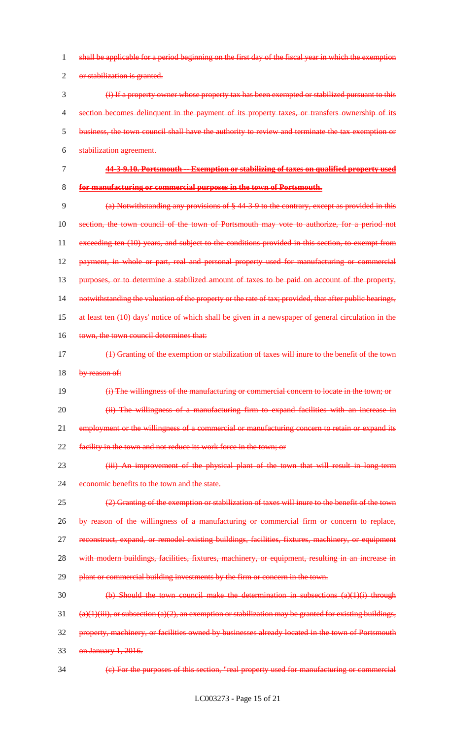- 1 shall be applicable for a period beginning on the first day of the fiscal year in which the exemption
- 2 or stabilization is granted.
- 3 (i) If a property owner whose property tax has been exempted or stabilized pursuant to this 4 section becomes delinquent in the payment of its property taxes, or transfers ownership of its 5 business, the town council shall have the authority to review and terminate the tax exemption or 6 stabilization agreement.
- 
- 7 **44-3-9.10. Portsmouth -- Exemption or stabilizing of taxes on qualified property used**  8 **for manufacturing or commercial purposes in the town of Portsmouth.**

9 (a) Notwithstanding any provisions of § 44-3-9 to the contrary, except as provided in this 10 section, the town council of the town of Portsmouth may vote to authorize, for a period not 11 exceeding ten (10) years, and subject to the conditions provided in this section, to exempt from 12 **payment, in whole or part, real and personal property used for manufacturing or commercial** 13 purposes, or to determine a stabilized amount of taxes to be paid on account of the property, 14 notwithstanding the valuation of the property or the rate of tax; provided, that after public hearings, 15 at least ten (10) days' notice of which shall be given in a newspaper of general circulation in the 16 town, the town council determines that: 17 (1) Granting of the exemption or stabilization of taxes will inure to the benefit of the town 18 by reason of: 19 (i) The willingness of the manufacturing or commercial concern to locate in the town; or

- 20 (ii) The willingness of a manufacturing firm to expand facilities with an increase in 21 employment or the willingness of a commercial or manufacturing concern to retain or expand its 22 facility in the town and not reduce its work force in the town; or
- 23 (iii) An improvement of the physical plant of the town that will result in long-term 24 economic benefits to the town and the state.
- 25 (2) Granting of the exemption or stabilization of taxes will inure to the benefit of the town 26 by reason of the willingness of a manufacturing or commercial firm or concern to replace, 27 reconstruct, expand, or remodel existing buildings, facilities, fixtures, machinery, or equipment 28 with modern buildings, facilities, fixtures, machinery, or equipment, resulting in an increase in
- 29 plant or commercial building investments by the firm or concern in the town.
- 30 (b) Should the town council make the determination in subsections  $(a)(1)(i)$  through
- 31 (a)(1)(iii), or subsection (a)(2), an exemption or stabilization may be granted for existing buildings,
- 32 property, machinery, or facilities owned by businesses already located in the town of Portsmouth
- 33 on January 1, 2016.
- 

34 (c) For the purposes of this section, "real property used for manufacturing or commercial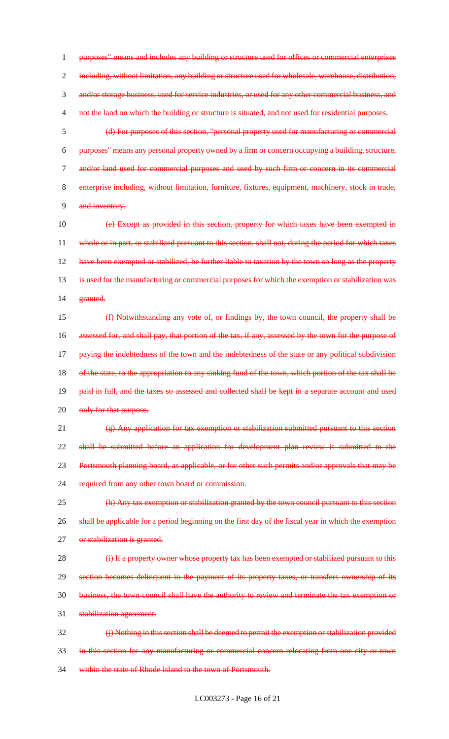1 purposes" means and includes any building or structure used for offices or commercial enterprises 2 including, without limitation, any building or structure used for wholesale, warehouse, distribution, 3 and/or storage business, used for service industries, or used for any other commercial business, and 4 not the land on which the building or structure is situated, and not used for residential purposes.

5 (d) For purposes of this section, "personal property used for manufacturing or commercial 6 purposes" means any personal property owned by a firm or concern occupying a building, structure, 7 and/or land used for commercial purposes and used by such firm or concern in its commercial 8 enterprise including, without limitation, furniture, fixtures, equipment, machinery, stock in trade, 9 and inventory.

10 (e) Except as provided in this section, property for which taxes have been exempted in 11 whole or in part, or stabilized pursuant to this section, shall not, during the period for which taxes 12 have been exempted or stabilized, be further liable to taxation by the town so long as the property 13 is used for the manufacturing or commercial purposes for which the exemption or stabilization was 14 **granted.** 

15 (f) Notwithstanding any vote of, or findings by, the town council, the property shall be 16 assessed for, and shall pay, that portion of the tax, if any, assessed by the town for the purpose of 17 paying the indebtedness of the town and the indebtedness of the state or any political subdivision 18 of the state, to the appropriation to any sinking fund of the town, which portion of the tax shall be 19 paid in full, and the taxes so assessed and collected shall be kept in a separate account and used 20 only for that purpose.

 (g) Any application for tax exemption or stabilization submitted pursuant to this section shall be submitted before an application for development plan review is submitted to the 23 Portsmouth planning board, as applicable, or for other such permits and/or approvals that may be required from any other town board or commission.

25 (h) Any tax exemption or stabilization granted by the town council pursuant to this section 26 shall be applicable for a period beginning on the first day of the fiscal year in which the exemption 27 or stabilization is granted.

**(i) If a property owner whose property tax has been exempted or stabilized pursuant to this** 29 section becomes delinquent in the payment of its property taxes, or transfers ownership of its business, the town council shall have the authority to review and terminate the tax exemption or stabilization agreement.

32 (j) Nothing in this section shall be deemed to permit the exemption or stabilization provided 33 in this section for any manufacturing or commercial concern relocating from one city or town 34 within the state of Rhode Island to the town of Portsmouth.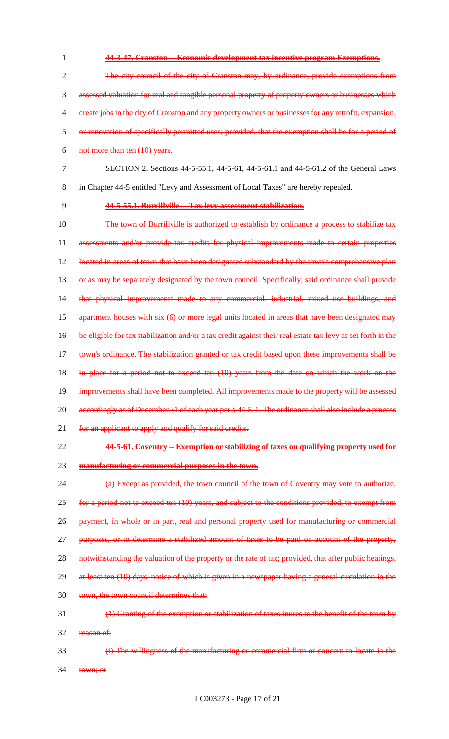**44-3-47. Cranston -- Economic development tax incentive program Exemptions.** The city council of the city of Cranston may, by ordinance, provide exemptions from assessed valuation for real and tangible personal property of property owners or businesses which 4 create jobs in the city of Cranston and any property owners or businesses for any retrofit, expansion, or renovation of specifically permitted uses; provided, that the exemption shall be for a period of not more than ten (10) years. SECTION 2. Sections 44-5-55.1, 44-5-61, 44-5-61.1 and 44-5-61.2 of the General Laws in Chapter 44-5 entitled "Levy and Assessment of Local Taxes" are hereby repealed. **44-5-55.1. Burrillville -- Tax levy assessment stabilization.** The town of Burrillville is authorized to establish by ordinance a process to stabilize tax assessments and/or provide tax credits for physical improvements made to certain properties 12 located in areas of town that have been designated substandard by the town's comprehensive plan 13 or as may be separately designated by the town council. Specifically, said ordinance shall provide that physical improvements made to any commercial, industrial, mixed use buildings, and 15 apartment houses with six (6) or more legal units located in areas that have been designated may 16 be eligible for tax stabilization and/or a tax credit against their real estate tax levy as set forth in the town's ordinance. The stabilization granted or tax credit based upon these improvements shall be 18 in place for a period not to exceed ten (10) years from the date on which the work on the 19 improvements shall have been completed. All improvements made to the property will be assessed 20 accordingly as of December 31 of each year per § 44-5-1. The ordinance shall also include a process 21 for an applicant to apply and qualify for said credits. **44-5-61. Coventry -- Exemption or stabilizing of taxes on qualifying property used for manufacturing or commercial purposes in the town.** (a) Except as provided, the town council of the town of Coventry may vote to authorize, 25 for a period not to exceed ten (10) years, and subject to the conditions provided, to exempt from payment, in whole or in part, real and personal property used for manufacturing or commercial purposes, or to determine a stabilized amount of taxes to be paid on account of the property, 28 notwithstanding the valuation of the property or the rate of tax; provided, that after public hearings, 29 at least ten (10) days' notice of which is given in a newspaper having a general circulation in the town, the town council determines that: (1) Granting of the exemption or stabilization of taxes inures to the benefit of the town by reason of: (i) The willingness of the manufacturing or commercial firm or concern to locate in the 34 town; or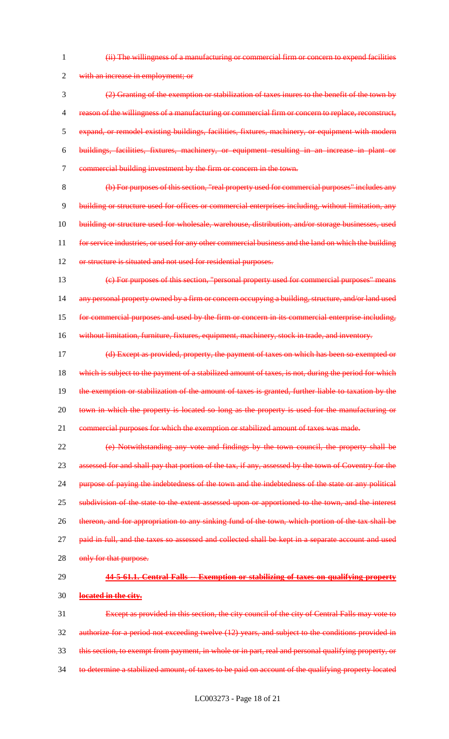2 with an increase in employment; or (2) Granting of the exemption or stabilization of taxes inures to the benefit of the town by reason of the willingness of a manufacturing or commercial firm or concern to replace, reconstruct, expand, or remodel existing buildings, facilities, fixtures, machinery, or equipment with modern buildings, facilities, fixtures, machinery, or equipment resulting in an increase in plant or commercial building investment by the firm or concern in the town.

1 (ii) The willingness of a manufacturing or commercial firm or concern to expend facilities

8 (b) For purposes of this section, "real property used for commercial purposes" includes any 9 building or structure used for offices or commercial enterprises including, without limitation, any 10 building or structure used for wholesale, warehouse, distribution, and/or storage businesses, used 11 for service industries, or used for any other commercial business and the land on which the building 12 or structure is situated and not used for residential purposes.

- 13 (c) For purposes of this section, "personal property used for commercial purposes" means 14 any personal property owned by a firm or concern occupying a building, structure, and/or land used 15 for commercial purposes and used by the firm or concern in its commercial enterprise including, 16 without limitation, furniture, fixtures, equipment, machinery, stock in trade, and inventory.
- 17 (d) Except as provided, property, the payment of taxes on which has been so exempted or 18 which is subject to the payment of a stabilized amount of taxes, is not, during the period for which 19 the exemption or stabilization of the amount of taxes is granted, further liable to taxation by the 20 town in which the property is located so long as the property is used for the manufacturing or

21 commercial purposes for which the exemption or stabilized amount of taxes was made.

22 (e) Notwithstanding any vote and findings by the town council, the property shall be 23 assessed for and shall pay that portion of the tax, if any, assessed by the town of Coventry for the 24 purpose of paying the indebtedness of the town and the indebtedness of the state or any political 25 subdivision of the state to the extent assessed upon or apportioned to the town, and the interest 26 thereon, and for appropriation to any sinking fund of the town, which portion of the tax shall be 27 paid in full, and the taxes so assessed and collected shall be kept in a separate account and used 28 only for that purpose.

# 29 **44-5-61.1. Central Falls -- Exemption or stabilizing of taxes on qualifying property**

30 **located in the city.**

 Except as provided in this section, the city council of the city of Central Falls may vote to authorize for a period not exceeding twelve (12) years, and subject to the conditions provided in this section, to exempt from payment, in whole or in part, real and personal qualifying property, or 34 to determine a stabilized amount, of taxes to be paid on account of the qualifying property located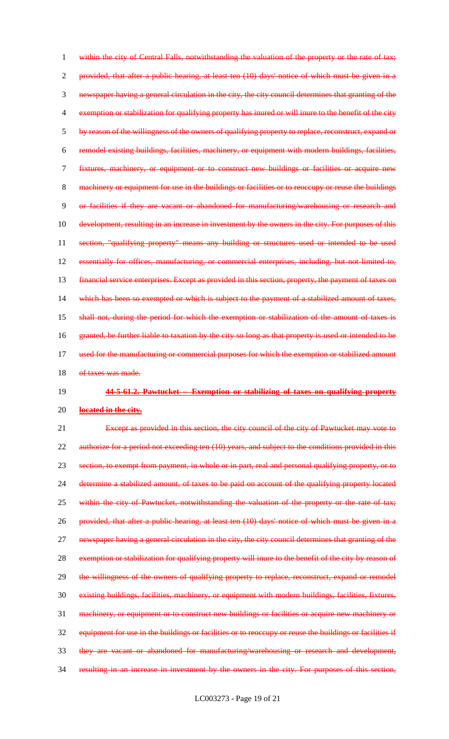1 within the city of Central Falls, notwithstanding the valuation of the property or the rate of tax; provided, that after a public hearing, at least ten (10) days' notice of which must be given in a newspaper having a general circulation in the city, the city council determines that granting of the exemption or stabilization for qualifying property has inured or will inure to the benefit of the city by reason of the willingness of the owners of qualifying property to replace, reconstruct, expand or remodel existing buildings, facilities, machinery, or equipment with modern buildings, facilities, fixtures, machinery, or equipment or to construct new buildings or facilities or acquire new 8 machinery or equipment for use in the buildings or facilities or to reoccupy or reuse the buildings or facilities if they are vacant or abandoned for manufacturing/warehousing or research and development, resulting in an increase in investment by the owners in the city. For purposes of this section, "qualifying property" means any building or structures used or intended to be used essentially for offices, manufacturing, or commercial enterprises, including, but not limited to, financial service enterprises. Except as provided in this section, property, the payment of taxes on 14 which has been so exempted or which is subject to the payment of a stabilized amount of taxes, shall not, during the period for which the exemption or stabilization of the amount of taxes is granted, be further liable to taxation by the city so long as that property is used or intended to be used for the manufacturing or commercial purposes for which the exemption or stabilized amount

18 of taxes was made.

# **44-5-61.2. Pawtucket -- Exemption or stabilizing of taxes on qualifying property located in the city.**

 Except as provided in this section, the city council of the city of Pawtucket may vote to 22 authorize for a period not exceeding ten (10) years, and subject to the conditions provided in this section, to exempt from payment, in whole or in part, real and personal qualifying property, or to determine a stabilized amount, of taxes to be paid on account of the qualifying property located 25 within the city of Pawtucket, notwithstanding the valuation of the property or the rate of tax; provided, that after a public hearing, at least ten (10) days' notice of which must be given in a newspaper having a general circulation in the city, the city council determines that granting of the 28 exemption or stabilization for qualifying property will inure to the benefit of the city by reason of 29 the willingness of the owners of qualifying property to replace, reconstruct, expand or remodel existing buildings, facilities, machinery, or equipment with modern buildings, facilities, fixtures, machinery, or equipment or to construct new buildings or facilities or acquire new machinery or equipment for use in the buildings or facilities or to reoccupy or reuse the buildings or facilities if they are vacant or abandoned for manufacturing/warehousing or research and development, resulting in an increase in investment by the owners in the city. For purposes of this section,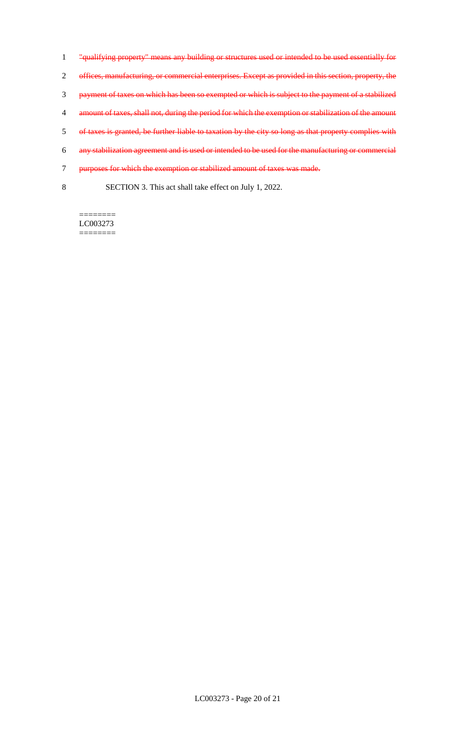"qualifying property" means any building or structures used or intended to be used essentially for offices, manufacturing, or commercial enterprises. Except as provided in this section, property, the payment of taxes on which has been so exempted or which is subject to the payment of a stabilized amount of taxes, shall not, during the period for which the exemption or stabilization of the amount of taxes is granted, be further liable to taxation by the city so long as that property complies with any stabilization agreement and is used or intended to be used for the manufacturing or commercial purposes for which the exemption or stabilized amount of taxes was made. SECTION 3. This act shall take effect on July 1, 2022.

======== LC003273 ========